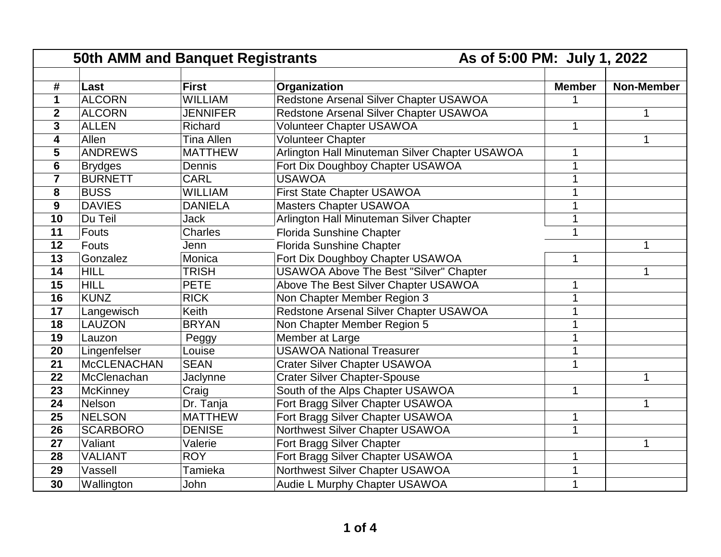|                 | 50th AMM and Banquet Registrants |                 |                                                | As of 5:00 PM: July 1, 2022 |                   |
|-----------------|----------------------------------|-----------------|------------------------------------------------|-----------------------------|-------------------|
|                 |                                  |                 |                                                |                             |                   |
| $\#$            | Last                             | <b>First</b>    | Organization                                   | <b>Member</b>               | <b>Non-Member</b> |
| $\mathbf 1$     | <b>ALCORN</b>                    | <b>WILLIAM</b>  | Redstone Arsenal Silver Chapter USAWOA         |                             |                   |
| $\mathbf{2}$    | <b>ALCORN</b>                    | <b>JENNIFER</b> | Redstone Arsenal Silver Chapter USAWOA         |                             | 1                 |
| 3               | <b>ALLEN</b>                     | Richard         | <b>Volunteer Chapter USAWOA</b>                |                             |                   |
| 4               | Allen                            | Tina Allen      | <b>Volunteer Chapter</b>                       |                             | 1                 |
| 5               | <b>ANDREWS</b>                   | <b>MATTHEW</b>  | Arlington Hall Minuteman Silver Chapter USAWOA |                             |                   |
| 6               | <b>Brydges</b>                   | Dennis          | Fort Dix Doughboy Chapter USAWOA               |                             |                   |
| $\overline{7}$  | <b>BURNETT</b>                   | <b>CARL</b>     | <b>USAWOA</b>                                  |                             |                   |
| 8               | <b>BUSS</b>                      | <b>WILLIAM</b>  | First State Chapter USAWOA                     |                             |                   |
| 9               | <b>DAVIES</b>                    | <b>DANIELA</b>  | <b>Masters Chapter USAWOA</b>                  |                             |                   |
| 10              | Du Teil                          | Jack            | Arlington Hall Minuteman Silver Chapter        |                             |                   |
| 11              | Fouts                            | <b>Charles</b>  | <b>Florida Sunshine Chapter</b>                |                             |                   |
| $\overline{12}$ | Fouts                            | Jenn            | <b>Florida Sunshine Chapter</b>                |                             | 1                 |
| 13              | Gonzalez                         | Monica          | Fort Dix Doughboy Chapter USAWOA               | 1                           |                   |
| 14              | <b>HILL</b>                      | <b>TRISH</b>    | <b>USAWOA Above The Best "Silver" Chapter</b>  |                             |                   |
| 15              | <b>HILL</b>                      | <b>PETE</b>     | Above The Best Silver Chapter USAWOA           |                             |                   |
| $\overline{16}$ | <b>KUNZ</b>                      | <b>RICK</b>     | Non Chapter Member Region 3                    |                             |                   |
| 17              | Langewisch                       | Keith           | Redstone Arsenal Silver Chapter USAWOA         |                             |                   |
| 18              | <b>LAUZON</b>                    | <b>BRYAN</b>    | Non Chapter Member Region 5                    |                             |                   |
| 19              | Lauzon                           | Peggy           | Member at Large                                |                             |                   |
| 20              | Lingenfelser                     | Louise          | <b>USAWOA National Treasurer</b>               |                             |                   |
| 21              | <b>McCLENACHAN</b>               | <b>SEAN</b>     | <b>Crater Silver Chapter USAWOA</b>            |                             |                   |
| 22              | McClenachan                      | Jaclynne        | <b>Crater Silver Chapter-Spouse</b>            |                             |                   |
| 23              | <b>McKinney</b>                  | Craig           | South of the Alps Chapter USAWOA               |                             |                   |
| 24              | Nelson                           | Dr. Tanja       | Fort Bragg Silver Chapter USAWOA               |                             |                   |
| 25              | <b>NELSON</b>                    | <b>MATTHEW</b>  | Fort Bragg Silver Chapter USAWOA               |                             |                   |
| 26              | <b>SCARBORO</b>                  | <b>DENISE</b>   | Northwest Silver Chapter USAWOA                |                             |                   |
| 27              | Valiant                          | Valerie         | Fort Bragg Silver Chapter                      |                             | 1                 |
| 28              | <b>VALIANT</b>                   | <b>ROY</b>      | Fort Bragg Silver Chapter USAWOA               |                             |                   |
| 29              | Vassell                          | Tamieka         | Northwest Silver Chapter USAWOA                |                             |                   |
| 30              | Wallington                       | John            | Audie L Murphy Chapter USAWOA                  |                             |                   |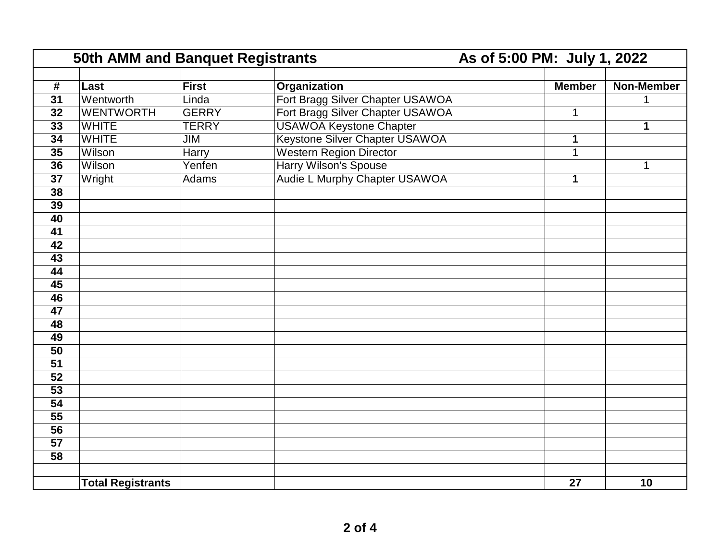|                 | <b>50th AMM and Banquet Registrants</b> |              |                                  | As of 5:00 PM: July 1, 2022 |                   |  |
|-----------------|-----------------------------------------|--------------|----------------------------------|-----------------------------|-------------------|--|
|                 |                                         |              |                                  |                             |                   |  |
| #               | Last                                    | <b>First</b> | Organization                     | <b>Member</b>               | <b>Non-Member</b> |  |
| $\overline{31}$ | Wentworth                               | Linda        | Fort Bragg Silver Chapter USAWOA |                             | 1                 |  |
| $\overline{32}$ | <b>WENTWORTH</b>                        | <b>GERRY</b> | Fort Bragg Silver Chapter USAWOA | 1                           |                   |  |
| 33              | <b>WHITE</b>                            | <b>TERRY</b> | <b>USAWOA Keystone Chapter</b>   |                             | 1                 |  |
| 34              | <b>WHITE</b>                            | JIM          | Keystone Silver Chapter USAWOA   | 1                           |                   |  |
| 35              | Wilson                                  | Harry        | <b>Western Region Director</b>   | $\mathbf{1}$                |                   |  |
| 36              | Wilson                                  | Yenfen       | Harry Wilson's Spouse            |                             | $\mathbf{1}$      |  |
| 37              | Wright                                  | Adams        | Audie L Murphy Chapter USAWOA    | $\mathbf 1$                 |                   |  |
| 38              |                                         |              |                                  |                             |                   |  |
| $\overline{39}$ |                                         |              |                                  |                             |                   |  |
| 40              |                                         |              |                                  |                             |                   |  |
| $\overline{41}$ |                                         |              |                                  |                             |                   |  |
| 42              |                                         |              |                                  |                             |                   |  |
| 43              |                                         |              |                                  |                             |                   |  |
| $\overline{44}$ |                                         |              |                                  |                             |                   |  |
| 45              |                                         |              |                                  |                             |                   |  |
| 46              |                                         |              |                                  |                             |                   |  |
| $\overline{47}$ |                                         |              |                                  |                             |                   |  |
| 48              |                                         |              |                                  |                             |                   |  |
| 49              |                                         |              |                                  |                             |                   |  |
| $\overline{50}$ |                                         |              |                                  |                             |                   |  |
| $\overline{51}$ |                                         |              |                                  |                             |                   |  |
| $\overline{52}$ |                                         |              |                                  |                             |                   |  |
| 53              |                                         |              |                                  |                             |                   |  |
| 54              |                                         |              |                                  |                             |                   |  |
| $\overline{55}$ |                                         |              |                                  |                             |                   |  |
| 56              |                                         |              |                                  |                             |                   |  |
| 57              |                                         |              |                                  |                             |                   |  |
| $\overline{58}$ |                                         |              |                                  |                             |                   |  |
|                 |                                         |              |                                  |                             |                   |  |
|                 | <b>Total Registrants</b>                |              |                                  | 27                          | 10                |  |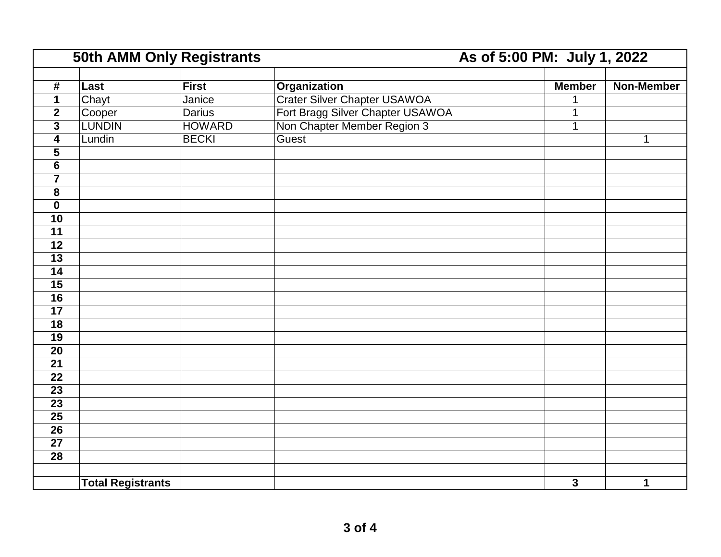|                         | <b>50th AMM Only Registrants</b> |               |                                     |                         | As of 5:00 PM: July 1, 2022 |  |
|-------------------------|----------------------------------|---------------|-------------------------------------|-------------------------|-----------------------------|--|
|                         |                                  |               |                                     |                         |                             |  |
| #                       | Last                             | <b>First</b>  | <b>Organization</b>                 | <b>Member</b>           | <b>Non-Member</b>           |  |
| 1                       | Chayt                            | Janice        | <b>Crater Silver Chapter USAWOA</b> |                         |                             |  |
| $\boldsymbol{2}$        | Cooper                           | <b>Darius</b> | Fort Bragg Silver Chapter USAWOA    | 1                       |                             |  |
| 3                       | <b>LUNDIN</b>                    | <b>HOWARD</b> | Non Chapter Member Region 3         | $\mathbf{1}$            |                             |  |
| $\overline{\mathbf{4}}$ | Lundin                           | <b>BECKI</b>  | Guest                               |                         | $\mathbf{1}$                |  |
| 5                       |                                  |               |                                     |                         |                             |  |
| $\overline{6}$          |                                  |               |                                     |                         |                             |  |
| $\overline{7}$          |                                  |               |                                     |                         |                             |  |
| 8                       |                                  |               |                                     |                         |                             |  |
| $\mathbf 0$             |                                  |               |                                     |                         |                             |  |
| $\overline{10}$         |                                  |               |                                     |                         |                             |  |
| $\overline{11}$         |                                  |               |                                     |                         |                             |  |
| $\overline{12}$         |                                  |               |                                     |                         |                             |  |
| $\overline{13}$         |                                  |               |                                     |                         |                             |  |
| $\overline{14}$         |                                  |               |                                     |                         |                             |  |
| 15                      |                                  |               |                                     |                         |                             |  |
| $\overline{16}$         |                                  |               |                                     |                         |                             |  |
| $\overline{17}$         |                                  |               |                                     |                         |                             |  |
| $\overline{18}$         |                                  |               |                                     |                         |                             |  |
| $\overline{19}$         |                                  |               |                                     |                         |                             |  |
| $\overline{20}$         |                                  |               |                                     |                         |                             |  |
| $\overline{21}$         |                                  |               |                                     |                         |                             |  |
| 22                      |                                  |               |                                     |                         |                             |  |
| 23                      |                                  |               |                                     |                         |                             |  |
| $\overline{23}$         |                                  |               |                                     |                         |                             |  |
| $\overline{25}$         |                                  |               |                                     |                         |                             |  |
| $\overline{26}$         |                                  |               |                                     |                         |                             |  |
| $\overline{27}$         |                                  |               |                                     |                         |                             |  |
| $\overline{28}$         |                                  |               |                                     |                         |                             |  |
|                         |                                  |               |                                     |                         |                             |  |
|                         | <b>Total Registrants</b>         |               |                                     | $\overline{\mathbf{3}}$ | $\mathbf 1$                 |  |